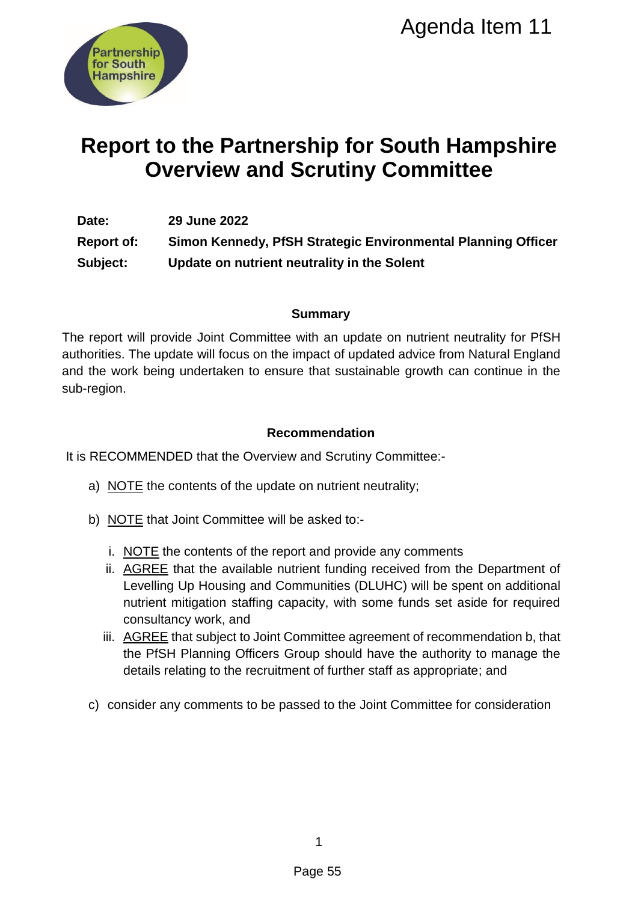

# **Report to the Partnership for South Hampshire Overview and Scrutiny Committee**

**Date: 29 June 2022 Report of: Simon Kennedy, PfSH Strategic Environmental Planning Officer Subject: Update on nutrient neutrality in the Solent**

### **Summary**

The report will provide Joint Committee with an update on nutrient neutrality for PfSH authorities. The update will focus on the impact of updated advice from Natural England and the work being undertaken to ensure that sustainable growth can continue in the sub-region. Agenda Item 11<br>
Ship for South Hampshire<br>
Scrutiny Committee<br>
H Strategic Environmental Planning Office<br>
eutrality in the Solent<br>
Summary<br>
with an update on nutrient neutrality for PfS<br>
Summary<br>
with an update on nutrient

### **Recommendation**

It is RECOMMENDED that the Overview and Scrutiny Committee:-

- a) NOTE the contents of the update on nutrient neutrality;
- b) NOTE that Joint Committee will be asked to:
	- i. NOTE the contents of the report and provide any comments
	- ii. AGREE that the available nutrient funding received from the Department of Levelling Up Housing and Communities (DLUHC) will be spent on additional nutrient mitigation staffing capacity, with some funds set aside for required consultancy work, and
	- iii. AGREE that subject to Joint Committee agreement of recommendation b, that the PfSH Planning Officers Group should have the authority to manage the details relating to the recruitment of further staff as appropriate; and
- c) consider any comments to be passed to the Joint Committee for consideration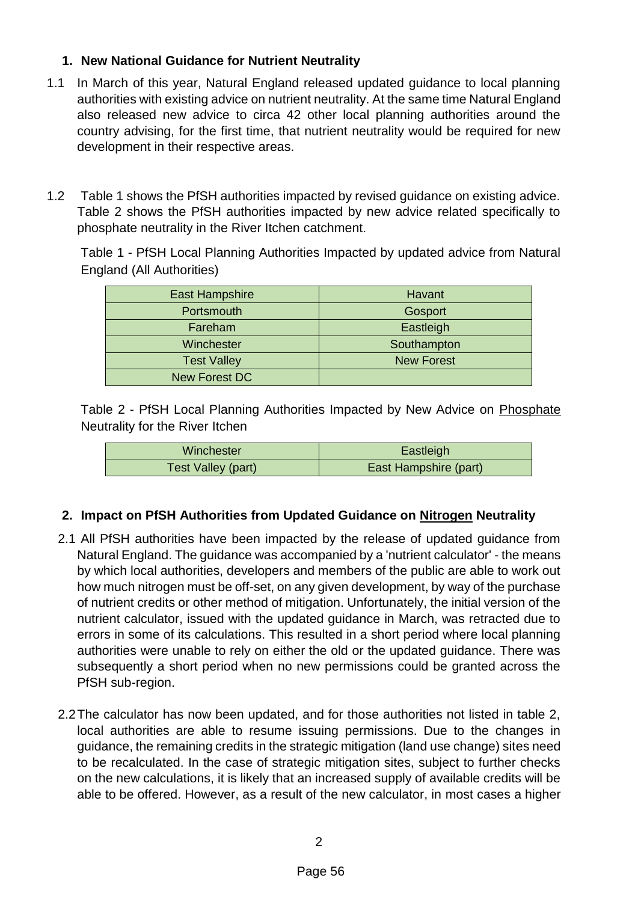### **1. New National Guidance for Nutrient Neutrality**

- 1.1 In March of this year, Natural England released updated guidance to local planning authorities with existing advice on nutrient neutrality. At the same time Natural England also released new advice to circa 42 other local planning authorities around the country advising, for the first time, that nutrient neutrality would be required for new development in their respective areas.
- 1.2 Table 1 shows the PfSH authorities impacted by revised guidance on existing advice. Table 2 shows the PfSH authorities impacted by new advice related specifically to phosphate neutrality in the River Itchen catchment.

Table 1 - PfSH Local Planning Authorities Impacted by updated advice from Natural England (All Authorities)

| <b>East Hampshire</b> | <b>Havant</b> |
|-----------------------|---------------|
| Portsmouth            | Gosport       |
| Fareham               | Eastleigh     |
| Winchester            | Southampton   |
| <b>Test Valley</b>    | New Forest    |
| <b>New Forest DC</b>  |               |

Table 2 - PfSH Local Planning Authorities Impacted by New Advice on Phosphate Neutrality for the River Itchen

| Winchester         | Eastleigh             |
|--------------------|-----------------------|
| Test Valley (part) | East Hampshire (part) |

### **2. Impact on PfSH Authorities from Updated Guidance on Nitrogen Neutrality**

- 2.1 All PfSH authorities have been impacted by the release of updated guidance from Natural England. The guidance was accompanied by a 'nutrient calculator' - the means by which local authorities, developers and members of the public are able to work out how much nitrogen must be off-set, on any given development, by way of the purchase of nutrient credits or other method of mitigation. Unfortunately, the initial version of the nutrient calculator, issued with the updated guidance in March, was retracted due to errors in some of its calculations. This resulted in a short period where local planning authorities were unable to rely on either the old or the updated guidance. There was subsequently a short period when no new permissions could be granted across the PfSH sub-region.
- 2.2The calculator has now been updated, and for those authorities not listed in table 2, local authorities are able to resume issuing permissions. Due to the changes in guidance, the remaining credits in the strategic mitigation (land use change) sites need to be recalculated. In the case of strategic mitigation sites, subject to further checks on the new calculations, it is likely that an increased supply of available credits will be able to be offered. However, as a result of the new calculator, in most cases a higher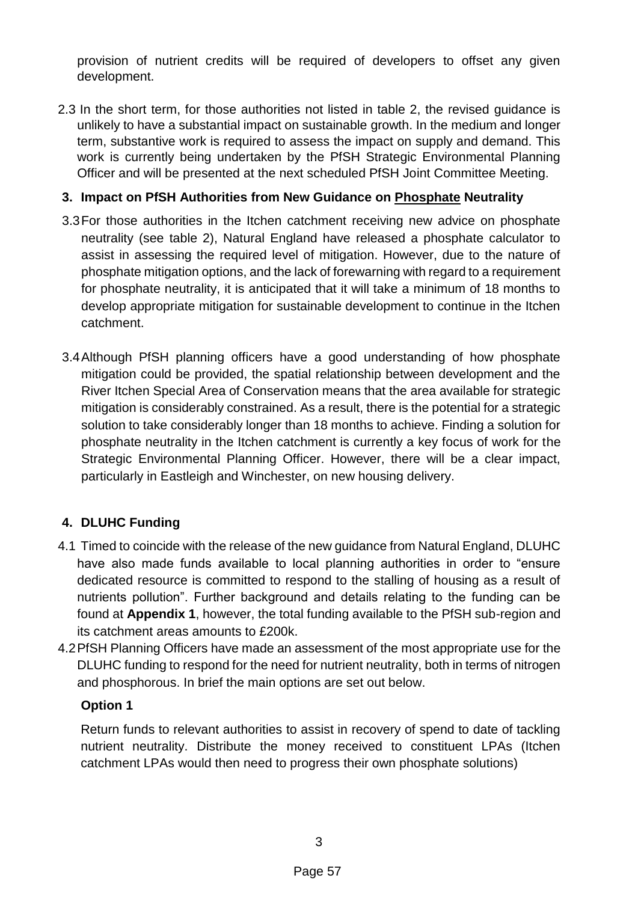provision of nutrient credits will be required of developers to offset any given development.

2.3 In the short term, for those authorities not listed in table 2, the revised guidance is unlikely to have a substantial impact on sustainable growth. In the medium and longer term, substantive work is required to assess the impact on supply and demand. This work is currently being undertaken by the PfSH Strategic Environmental Planning Officer and will be presented at the next scheduled PfSH Joint Committee Meeting.

### **3. Impact on PfSH Authorities from New Guidance on Phosphate Neutrality**

- 3.3For those authorities in the Itchen catchment receiving new advice on phosphate neutrality (see table 2), Natural England have released a phosphate calculator to assist in assessing the required level of mitigation. However, due to the nature of phosphate mitigation options, and the lack of forewarning with regard to a requirement for phosphate neutrality, it is anticipated that it will take a minimum of 18 months to develop appropriate mitigation for sustainable development to continue in the Itchen catchment.
- 3.4Although PfSH planning officers have a good understanding of how phosphate mitigation could be provided, the spatial relationship between development and the River Itchen Special Area of Conservation means that the area available for strategic mitigation is considerably constrained. As a result, there is the potential for a strategic solution to take considerably longer than 18 months to achieve. Finding a solution for phosphate neutrality in the Itchen catchment is currently a key focus of work for the Strategic Environmental Planning Officer. However, there will be a clear impact, particularly in Eastleigh and Winchester, on new housing delivery.

# **4. DLUHC Funding**

- 4.1 Timed to coincide with the release of the new guidance from Natural England, DLUHC have also made funds available to local planning authorities in order to "ensure dedicated resource is committed to respond to the stalling of housing as a result of nutrients pollution". Further background and details relating to the funding can be found at **Appendix 1**, however, the total funding available to the PfSH sub-region and its catchment areas amounts to £200k.
- 4.2PfSH Planning Officers have made an assessment of the most appropriate use for the DLUHC funding to respond for the need for nutrient neutrality, both in terms of nitrogen and phosphorous. In brief the main options are set out below.

# **Option 1**

Return funds to relevant authorities to assist in recovery of spend to date of tackling nutrient neutrality. Distribute the money received to constituent LPAs (Itchen catchment LPAs would then need to progress their own phosphate solutions)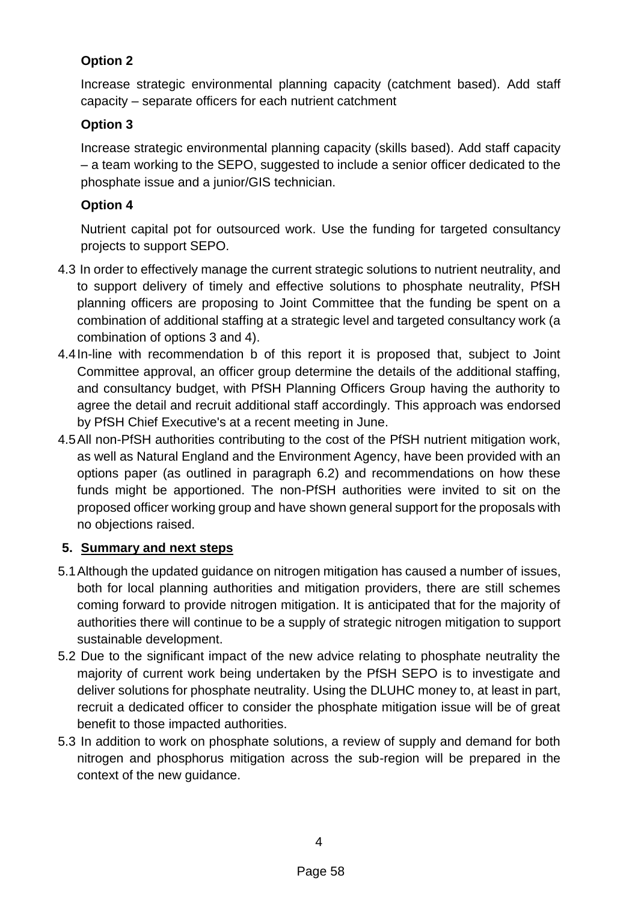# **Option 2**

Increase strategic environmental planning capacity (catchment based). Add staff capacity – separate officers for each nutrient catchment

# **Option 3**

Increase strategic environmental planning capacity (skills based). Add staff capacity – a team working to the SEPO, suggested to include a senior officer dedicated to the phosphate issue and a junior/GIS technician.

# **Option 4**

Nutrient capital pot for outsourced work. Use the funding for targeted consultancy projects to support SEPO.

- 4.3 In order to effectively manage the current strategic solutions to nutrient neutrality, and to support delivery of timely and effective solutions to phosphate neutrality, PfSH planning officers are proposing to Joint Committee that the funding be spent on a combination of additional staffing at a strategic level and targeted consultancy work (a combination of options 3 and 4).
- 4.4In-line with recommendation b of this report it is proposed that, subject to Joint Committee approval, an officer group determine the details of the additional staffing, and consultancy budget, with PfSH Planning Officers Group having the authority to agree the detail and recruit additional staff accordingly. This approach was endorsed by PfSH Chief Executive's at a recent meeting in June.
- 4.5All non-PfSH authorities contributing to the cost of the PfSH nutrient mitigation work, as well as Natural England and the Environment Agency, have been provided with an options paper (as outlined in paragraph 6.2) and recommendations on how these funds might be apportioned. The non-PfSH authorities were invited to sit on the proposed officer working group and have shown general support for the proposals with no objections raised.

# **5. Summary and next steps**

- 5.1Although the updated guidance on nitrogen mitigation has caused a number of issues, both for local planning authorities and mitigation providers, there are still schemes coming forward to provide nitrogen mitigation. It is anticipated that for the majority of authorities there will continue to be a supply of strategic nitrogen mitigation to support sustainable development.
- 5.2 Due to the significant impact of the new advice relating to phosphate neutrality the majority of current work being undertaken by the PfSH SEPO is to investigate and deliver solutions for phosphate neutrality. Using the DLUHC money to, at least in part, recruit a dedicated officer to consider the phosphate mitigation issue will be of great benefit to those impacted authorities.
- 5.3 In addition to work on phosphate solutions, a review of supply and demand for both nitrogen and phosphorus mitigation across the sub-region will be prepared in the context of the new guidance.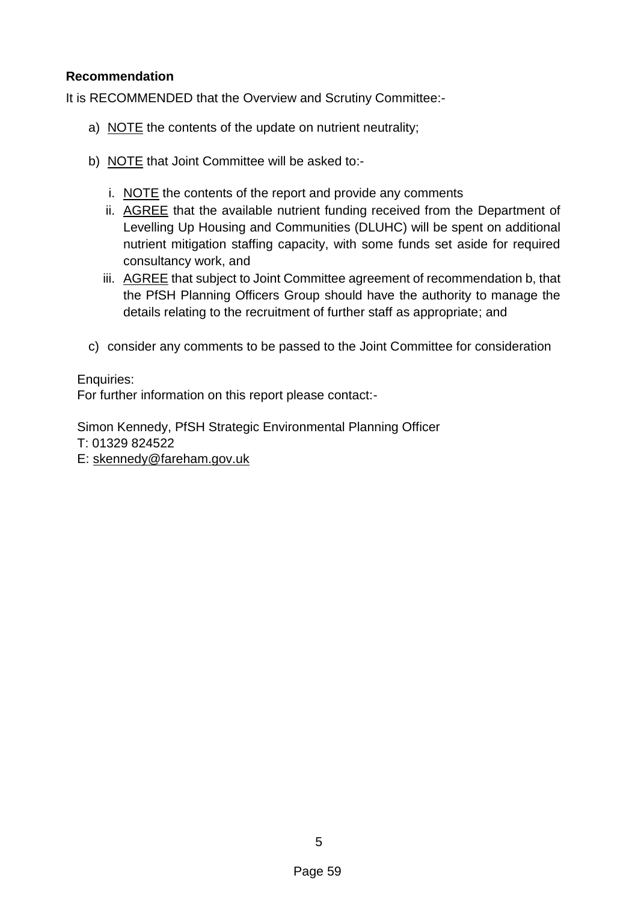### **Recommendation**

It is RECOMMENDED that the Overview and Scrutiny Committee:-

- a) NOTE the contents of the update on nutrient neutrality;
- b) NOTE that Joint Committee will be asked to:
	- i. NOTE the contents of the report and provide any comments
	- ii. AGREE that the available nutrient funding received from the Department of Levelling Up Housing and Communities (DLUHC) will be spent on additional nutrient mitigation staffing capacity, with some funds set aside for required consultancy work, and
	- iii. AGREE that subject to Joint Committee agreement of recommendation b, that the PfSH Planning Officers Group should have the authority to manage the details relating to the recruitment of further staff as appropriate; and
- c) consider any comments to be passed to the Joint Committee for consideration

Enquiries:

For further information on this report please contact:-

Simon Kennedy, PfSH Strategic Environmental Planning Officer T: 01329 824522

E: [skennedy@fareham.gov.uk](mailto:skennedy@fareham.gov.uk)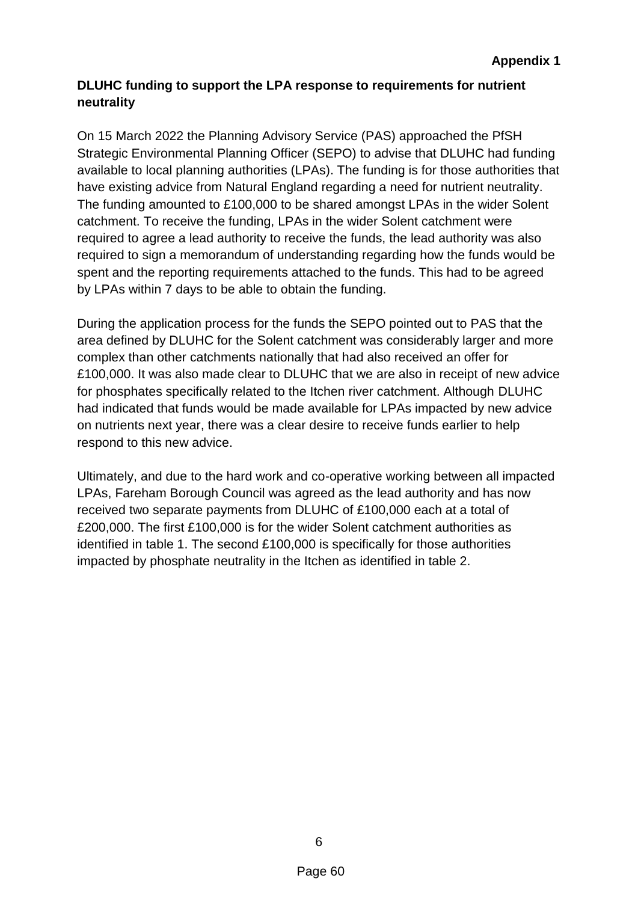## **DLUHC funding to support the LPA response to requirements for nutrient neutrality**

On 15 March 2022 the Planning Advisory Service (PAS) approached the PfSH Strategic Environmental Planning Officer (SEPO) to advise that DLUHC had funding available to local planning authorities (LPAs). The funding is for those authorities that have existing advice from Natural England regarding a need for nutrient neutrality. The funding amounted to £100,000 to be shared amongst LPAs in the wider Solent catchment. To receive the funding, LPAs in the wider Solent catchment were required to agree a lead authority to receive the funds, the lead authority was also required to sign a memorandum of understanding regarding how the funds would be spent and the reporting requirements attached to the funds. This had to be agreed by LPAs within 7 days to be able to obtain the funding.

During the application process for the funds the SEPO pointed out to PAS that the area defined by DLUHC for the Solent catchment was considerably larger and more complex than other catchments nationally that had also received an offer for £100,000. It was also made clear to DLUHC that we are also in receipt of new advice for phosphates specifically related to the Itchen river catchment. Although DLUHC had indicated that funds would be made available for LPAs impacted by new advice on nutrients next year, there was a clear desire to receive funds earlier to help respond to this new advice.

Ultimately, and due to the hard work and co-operative working between all impacted LPAs, Fareham Borough Council was agreed as the lead authority and has now received two separate payments from DLUHC of £100,000 each at a total of £200,000. The first £100,000 is for the wider Solent catchment authorities as identified in table 1. The second £100,000 is specifically for those authorities impacted by phosphate neutrality in the Itchen as identified in table 2.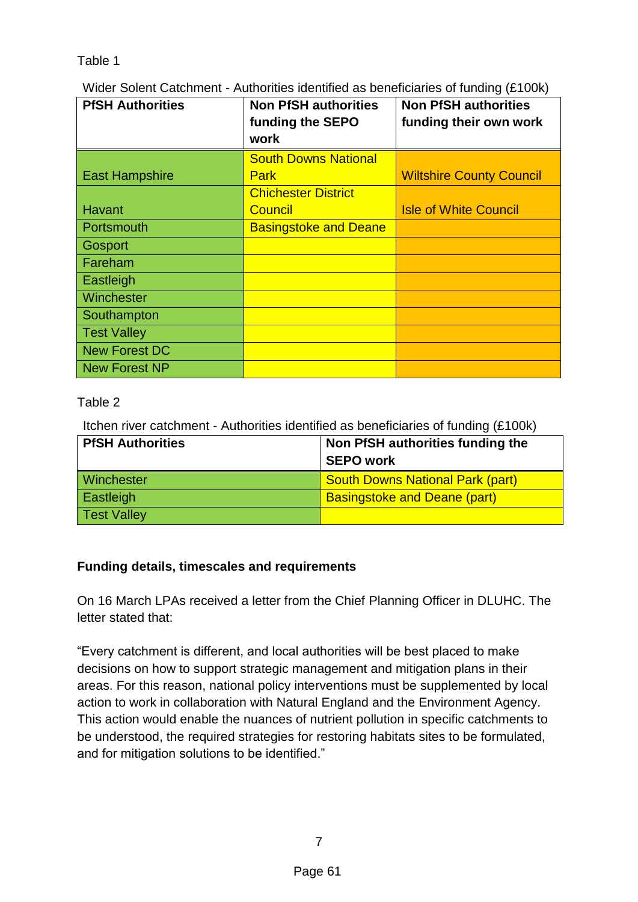### Table 1

Wider Solent Catchment - Authorities identified as beneficiaries of funding (£100k)

| <b>PfSH Authorities</b> | <b>Non PfSH authorities</b><br>funding the SEPO | <b>Non PfSH authorities</b><br>funding their own work |
|-------------------------|-------------------------------------------------|-------------------------------------------------------|
|                         | work                                            |                                                       |
|                         | <b>South Downs National</b>                     |                                                       |
| <b>East Hampshire</b>   | <b>Park</b>                                     | <b>Wiltshire County Council</b>                       |
|                         | <b>Chichester District</b>                      |                                                       |
| <b>Havant</b>           | <b>Council</b>                                  | <b>Isle of White Council</b>                          |
| Portsmouth              | <b>Basingstoke and Deane</b>                    |                                                       |
| Gosport                 |                                                 |                                                       |
| Fareham                 |                                                 |                                                       |
| <b>Eastleigh</b>        |                                                 |                                                       |
| <b>Winchester</b>       |                                                 |                                                       |
| Southampton             |                                                 |                                                       |
| <b>Test Valley</b>      |                                                 |                                                       |
| New Forest DC           |                                                 |                                                       |
| New Forest NP           |                                                 |                                                       |

# Table 2

Itchen river catchment - Authorities identified as beneficiaries of funding (£100k)

| <b>PfSH Authorities</b> | Non PfSH authorities funding the        |  |
|-------------------------|-----------------------------------------|--|
|                         | <b>SEPO work</b>                        |  |
| <b>Winchester</b>       | <b>South Downs National Park (part)</b> |  |
| Eastleigh               | <b>Basingstoke and Deane (part)</b>     |  |
| <b>Test Valley</b>      |                                         |  |

# **Funding details, timescales and requirements**

On 16 March LPAs received a letter from the Chief Planning Officer in DLUHC. The letter stated that:

"Every catchment is different, and local authorities will be best placed to make decisions on how to support strategic management and mitigation plans in their areas. For this reason, national policy interventions must be supplemented by local action to work in collaboration with Natural England and the Environment Agency. This action would enable the nuances of nutrient pollution in specific catchments to be understood, the required strategies for restoring habitats sites to be formulated, and for mitigation solutions to be identified."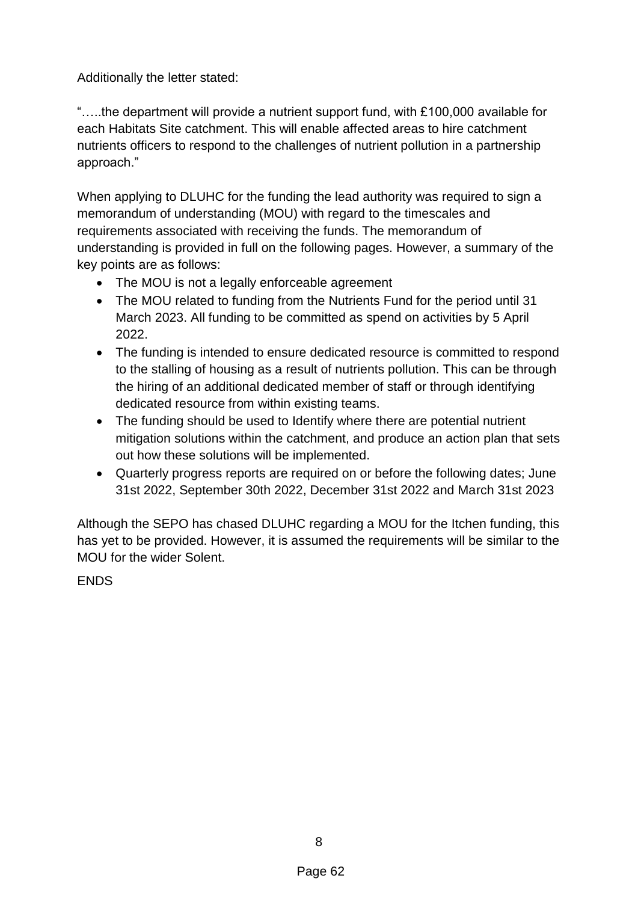Additionally the letter stated:

"…..the department will provide a nutrient support fund, with £100,000 available for each Habitats Site catchment. This will enable affected areas to hire catchment nutrients officers to respond to the challenges of nutrient pollution in a partnership approach."

When applying to DLUHC for the funding the lead authority was required to sign a memorandum of understanding (MOU) with regard to the timescales and requirements associated with receiving the funds. The memorandum of understanding is provided in full on the following pages. However, a summary of the key points are as follows:

- The MOU is not a legally enforceable agreement
- The MOU related to funding from the Nutrients Fund for the period until 31 March 2023. All funding to be committed as spend on activities by 5 April 2022.
- The funding is intended to ensure dedicated resource is committed to respond to the stalling of housing as a result of nutrients pollution. This can be through the hiring of an additional dedicated member of staff or through identifying dedicated resource from within existing teams.
- The funding should be used to Identify where there are potential nutrient mitigation solutions within the catchment, and produce an action plan that sets out how these solutions will be implemented.
- Quarterly progress reports are required on or before the following dates; June 31st 2022, September 30th 2022, December 31st 2022 and March 31st 2023

Although the SEPO has chased DLUHC regarding a MOU for the Itchen funding, this has yet to be provided. However, it is assumed the requirements will be similar to the MOU for the wider Solent.

**FNDS**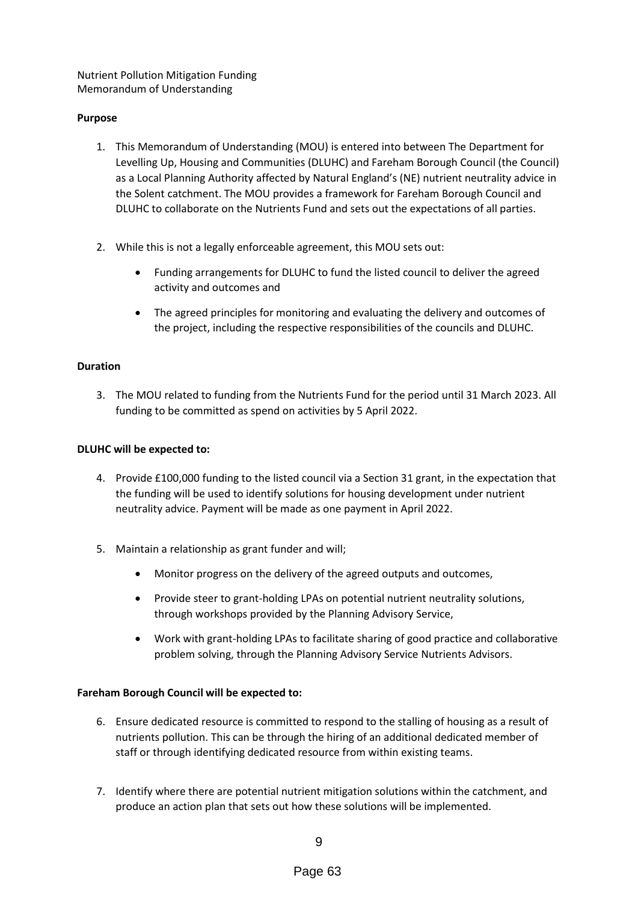Nutrient Pollution Mitigation Funding Memorandum of Understanding

### **Purpose**

- 1. This Memorandum of Understanding (MOU) is entered into between The Department for Levelling Up, Housing and Communities (DLUHC) and Fareham Borough Council (the Council) as a Local Planning Authority affected by Natural England's (NE) nutrient neutrality advice in the Solent catchment. The MOU provides a framework for Fareham Borough Council and DLUHC to collaborate on the Nutrients Fund and sets out the expectations of all parties.
- 2. While this is not a legally enforceable agreement, this MOU sets out:
	- Funding arrangements for DLUHC to fund the listed council to deliver the agreed activity and outcomes and
	- The agreed principles for monitoring and evaluating the delivery and outcomes of the project, including the respective responsibilities of the councils and DLUHC.

### **Duration**

3. The MOU related to funding from the Nutrients Fund for the period until 31 March 2023. All funding to be committed as spend on activities by 5 April 2022.

### **DLUHC will be expected to:**

- 4. Provide £100,000 funding to the listed council via a Section 31 grant, in the expectation that the funding will be used to identify solutions for housing development under nutrient neutrality advice. Payment will be made as one payment in April 2022.
- 5. Maintain a relationship as grant funder and will;
	- Monitor progress on the delivery of the agreed outputs and outcomes,
	- Provide steer to grant-holding LPAs on potential nutrient neutrality solutions, through workshops provided by the Planning Advisory Service,
	- Work with grant-holding LPAs to facilitate sharing of good practice and collaborative problem solving, through the Planning Advisory Service Nutrients Advisors.

### **Fareham Borough Council will be expected to:**

- 6. Ensure dedicated resource is committed to respond to the stalling of housing as a result of nutrients pollution. This can be through the hiring of an additional dedicated member of staff or through identifying dedicated resource from within existing teams.
- 7. Identify where there are potential nutrient mitigation solutions within the catchment, and produce an action plan that sets out how these solutions will be implemented.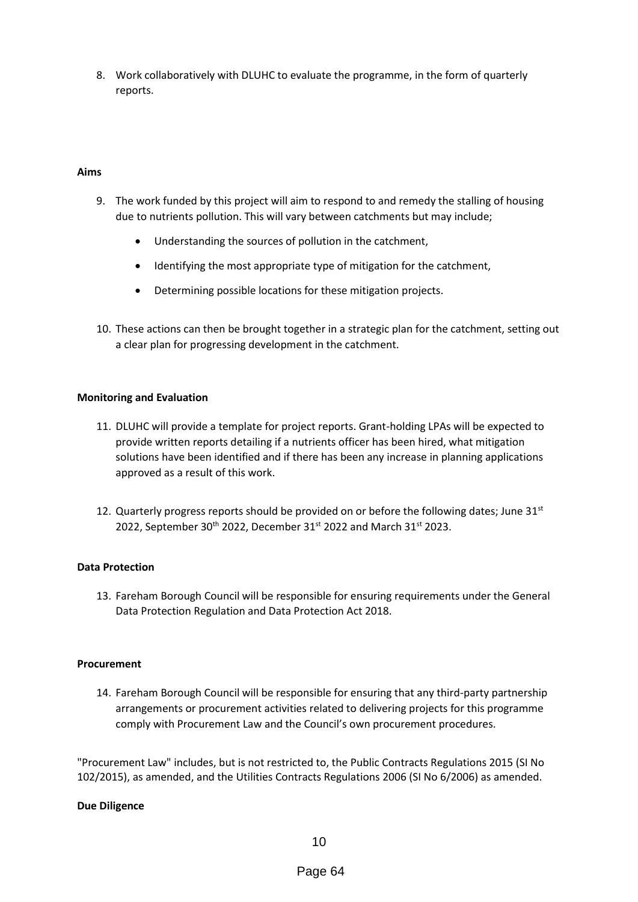8. Work collaboratively with DLUHC to evaluate the programme, in the form of quarterly reports.

#### **Aims**

- 9. The work funded by this project will aim to respond to and remedy the stalling of housing due to nutrients pollution. This will vary between catchments but may include;
	- Understanding the sources of pollution in the catchment,
	- Identifying the most appropriate type of mitigation for the catchment,
	- Determining possible locations for these mitigation projects.
- 10. These actions can then be brought together in a strategic plan for the catchment, setting out a clear plan for progressing development in the catchment.

#### **Monitoring and Evaluation**

- 11. DLUHC will provide a template for project reports. Grant-holding LPAs will be expected to provide written reports detailing if a nutrients officer has been hired, what mitigation solutions have been identified and if there has been any increase in planning applications approved as a result of this work.
- 12. Quarterly progress reports should be provided on or before the following dates; June  $31<sup>st</sup>$ 2022, September 30<sup>th</sup> 2022, December 31<sup>st</sup> 2022 and March 31<sup>st</sup> 2023.

### **Data Protection**

13. Fareham Borough Council will be responsible for ensuring requirements under the General Data Protection Regulation and Data Protection Act 2018.

#### **Procurement**

14. Fareham Borough Council will be responsible for ensuring that any third-party partnership arrangements or procurement activities related to delivering projects for this programme comply with Procurement Law and the Council's own procurement procedures.

"Procurement Law" includes, but is not restricted to, the Public Contracts Regulations 2015 (SI No 102/2015), as amended, and the Utilities Contracts Regulations 2006 (SI No 6/2006) as amended.

#### **Due Diligence**